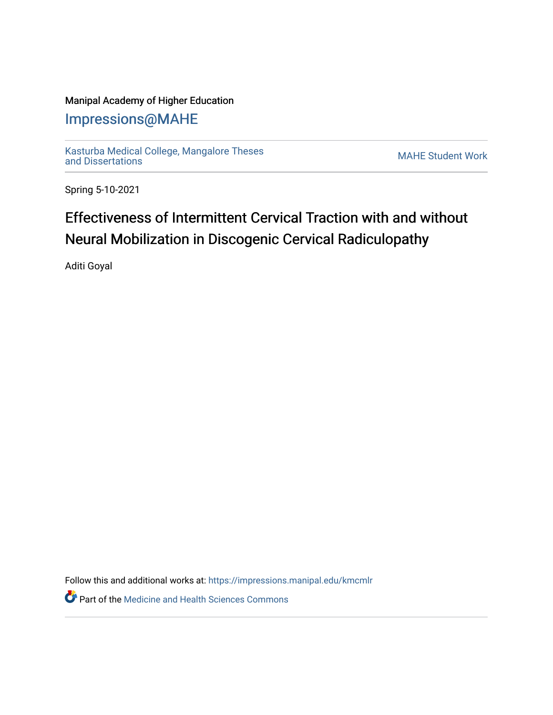## Manipal Academy of Higher Education

## [Impressions@MAHE](https://impressions.manipal.edu/)

[Kasturba Medical College, Mangalore Theses](https://impressions.manipal.edu/kmcmlr) [and Dissertations](https://impressions.manipal.edu/kmcmlr) [MAHE Student Work](https://impressions.manipal.edu/student-work) 

Spring 5-10-2021

## Effectiveness of Intermittent Cervical Traction with and without Neural Mobilization in Discogenic Cervical Radiculopathy

Aditi Goyal

Follow this and additional works at: [https://impressions.manipal.edu/kmcmlr](https://impressions.manipal.edu/kmcmlr?utm_source=impressions.manipal.edu%2Fkmcmlr%2F123&utm_medium=PDF&utm_campaign=PDFCoverPages) 

**Part of the Medicine and Health Sciences Commons**